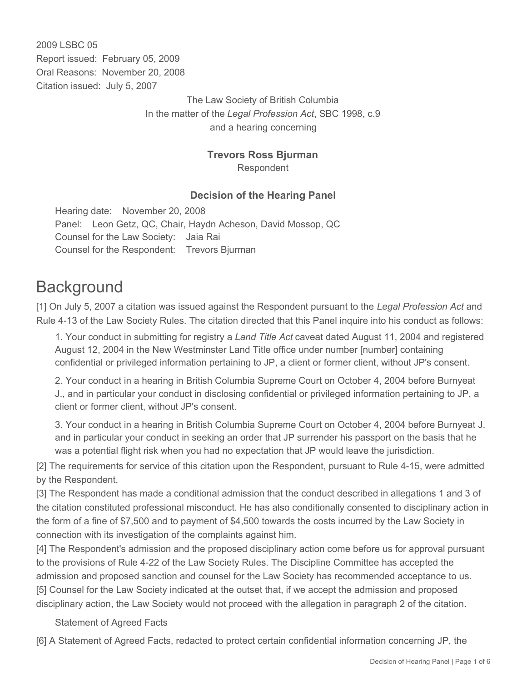2009 LSBC 05 Report issued: February 05, 2009 Oral Reasons: November 20, 2008 Citation issued: July 5, 2007

> The Law Society of British Columbia In the matter of the *Legal Profession Act*, SBC 1998, c.9 and a hearing concerning

### **Trevors Ross Bjurman**

Respondent

#### **Decision of the Hearing Panel**

Hearing date: November 20, 2008 Panel: Leon Getz, QC, Chair, Haydn Acheson, David Mossop, QC Counsel for the Law Society: Jaia Rai Counsel for the Respondent: Trevors Bjurman

# **Background**

[1] On July 5, 2007 a citation was issued against the Respondent pursuant to the *Legal Profession Act* and Rule 4-13 of the Law Society Rules. The citation directed that this Panel inquire into his conduct as follows:

1. Your conduct in submitting for registry a *Land Title Act* caveat dated August 11, 2004 and registered August 12, 2004 in the New Westminster Land Title office under number [number] containing confidential or privileged information pertaining to JP, a client or former client, without JP's consent.

2. Your conduct in a hearing in British Columbia Supreme Court on October 4, 2004 before Burnyeat J., and in particular your conduct in disclosing confidential or privileged information pertaining to JP, a client or former client, without JP's consent.

3. Your conduct in a hearing in British Columbia Supreme Court on October 4, 2004 before Burnyeat J. and in particular your conduct in seeking an order that JP surrender his passport on the basis that he was a potential flight risk when you had no expectation that JP would leave the jurisdiction.

[2] The requirements for service of this citation upon the Respondent, pursuant to Rule 4-15, were admitted by the Respondent.

[3] The Respondent has made a conditional admission that the conduct described in allegations 1 and 3 of the citation constituted professional misconduct. He has also conditionally consented to disciplinary action in the form of a fine of \$7,500 and to payment of \$4,500 towards the costs incurred by the Law Society in connection with its investigation of the complaints against him.

[4] The Respondent's admission and the proposed disciplinary action come before us for approval pursuant to the provisions of Rule 4-22 of the Law Society Rules. The Discipline Committee has accepted the admission and proposed sanction and counsel for the Law Society has recommended acceptance to us. [5] Counsel for the Law Society indicated at the outset that, if we accept the admission and proposed disciplinary action, the Law Society would not proceed with the allegation in paragraph 2 of the citation.

Statement of Agreed Facts

[6] A Statement of Agreed Facts, redacted to protect certain confidential information concerning JP, the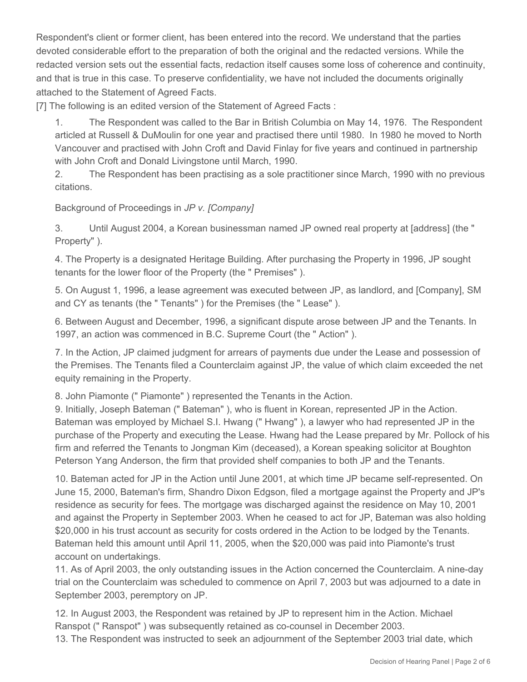Respondent's client or former client, has been entered into the record. We understand that the parties devoted considerable effort to the preparation of both the original and the redacted versions. While the redacted version sets out the essential facts, redaction itself causes some loss of coherence and continuity, and that is true in this case. To preserve confidentiality, we have not included the documents originally attached to the Statement of Agreed Facts.

[7] The following is an edited version of the Statement of Agreed Facts :

1. The Respondent was called to the Bar in British Columbia on May 14, 1976. The Respondent articled at Russell & DuMoulin for one year and practised there until 1980. In 1980 he moved to North Vancouver and practised with John Croft and David Finlay for five years and continued in partnership with John Croft and Donald Livingstone until March, 1990.

2. The Respondent has been practising as a sole practitioner since March, 1990 with no previous citations.

Background of Proceedings in *JP v. [Company]*

3. Until August 2004, a Korean businessman named JP owned real property at [address] (the " Property" ).

4. The Property is a designated Heritage Building. After purchasing the Property in 1996, JP sought tenants for the lower floor of the Property (the " Premises" ).

5. On August 1, 1996, a lease agreement was executed between JP, as landlord, and [Company], SM and CY as tenants (the " Tenants" ) for the Premises (the " Lease" ).

6. Between August and December, 1996, a significant dispute arose between JP and the Tenants. In 1997, an action was commenced in B.C. Supreme Court (the " Action" ).

7. In the Action, JP claimed judgment for arrears of payments due under the Lease and possession of the Premises. The Tenants filed a Counterclaim against JP, the value of which claim exceeded the net equity remaining in the Property.

8. John Piamonte (" Piamonte" ) represented the Tenants in the Action.

9. Initially, Joseph Bateman (" Bateman" ), who is fluent in Korean, represented JP in the Action. Bateman was employed by Michael S.I. Hwang (" Hwang" ), a lawyer who had represented JP in the purchase of the Property and executing the Lease. Hwang had the Lease prepared by Mr. Pollock of his firm and referred the Tenants to Jongman Kim (deceased), a Korean speaking solicitor at Boughton Peterson Yang Anderson, the firm that provided shelf companies to both JP and the Tenants.

10. Bateman acted for JP in the Action until June 2001, at which time JP became self-represented. On June 15, 2000, Bateman's firm, Shandro Dixon Edgson, filed a mortgage against the Property and JP's residence as security for fees. The mortgage was discharged against the residence on May 10, 2001 and against the Property in September 2003. When he ceased to act for JP, Bateman was also holding \$20,000 in his trust account as security for costs ordered in the Action to be lodged by the Tenants. Bateman held this amount until April 11, 2005, when the \$20,000 was paid into Piamonte's trust account on undertakings.

11. As of April 2003, the only outstanding issues in the Action concerned the Counterclaim. A nine-day trial on the Counterclaim was scheduled to commence on April 7, 2003 but was adjourned to a date in September 2003, peremptory on JP.

12. In August 2003, the Respondent was retained by JP to represent him in the Action. Michael Ranspot (" Ranspot" ) was subsequently retained as co-counsel in December 2003. 13. The Respondent was instructed to seek an adjournment of the September 2003 trial date, which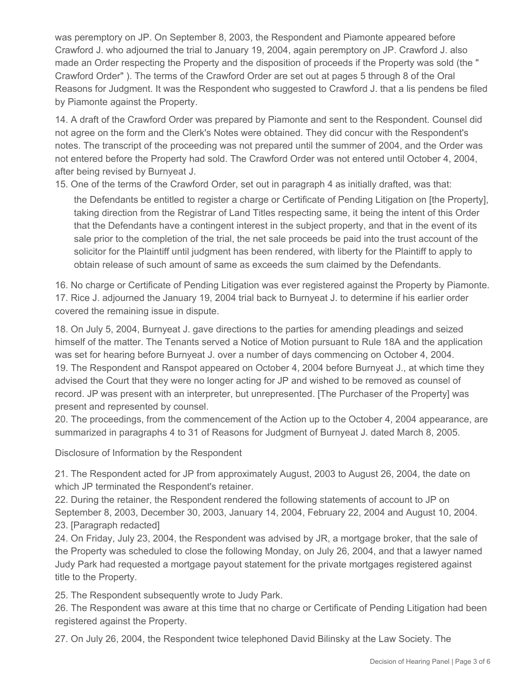was peremptory on JP. On September 8, 2003, the Respondent and Piamonte appeared before Crawford J. who adjourned the trial to January 19, 2004, again peremptory on JP. Crawford J. also made an Order respecting the Property and the disposition of proceeds if the Property was sold (the " Crawford Order" ). The terms of the Crawford Order are set out at pages 5 through 8 of the Oral Reasons for Judgment. It was the Respondent who suggested to Crawford J. that a lis pendens be filed by Piamonte against the Property.

14. A draft of the Crawford Order was prepared by Piamonte and sent to the Respondent. Counsel did not agree on the form and the Clerk's Notes were obtained. They did concur with the Respondent's notes. The transcript of the proceeding was not prepared until the summer of 2004, and the Order was not entered before the Property had sold. The Crawford Order was not entered until October 4, 2004, after being revised by Burnyeat J.

15. One of the terms of the Crawford Order, set out in paragraph 4 as initially drafted, was that:

the Defendants be entitled to register a charge or Certificate of Pending Litigation on [the Property], taking direction from the Registrar of Land Titles respecting same, it being the intent of this Order that the Defendants have a contingent interest in the subject property, and that in the event of its sale prior to the completion of the trial, the net sale proceeds be paid into the trust account of the solicitor for the Plaintiff until judgment has been rendered, with liberty for the Plaintiff to apply to obtain release of such amount of same as exceeds the sum claimed by the Defendants.

16. No charge or Certificate of Pending Litigation was ever registered against the Property by Piamonte. 17. Rice J. adjourned the January 19, 2004 trial back to Burnyeat J. to determine if his earlier order covered the remaining issue in dispute.

18. On July 5, 2004, Burnyeat J. gave directions to the parties for amending pleadings and seized himself of the matter. The Tenants served a Notice of Motion pursuant to Rule 18A and the application was set for hearing before Burnyeat J. over a number of days commencing on October 4, 2004. 19. The Respondent and Ranspot appeared on October 4, 2004 before Burnyeat J., at which time they advised the Court that they were no longer acting for JP and wished to be removed as counsel of record. JP was present with an interpreter, but unrepresented. [The Purchaser of the Property] was present and represented by counsel.

20. The proceedings, from the commencement of the Action up to the October 4, 2004 appearance, are summarized in paragraphs 4 to 31 of Reasons for Judgment of Burnyeat J. dated March 8, 2005.

Disclosure of Information by the Respondent

21. The Respondent acted for JP from approximately August, 2003 to August 26, 2004, the date on which JP terminated the Respondent's retainer.

22. During the retainer, the Respondent rendered the following statements of account to JP on September 8, 2003, December 30, 2003, January 14, 2004, February 22, 2004 and August 10, 2004. 23. [Paragraph redacted]

24. On Friday, July 23, 2004, the Respondent was advised by JR, a mortgage broker, that the sale of the Property was scheduled to close the following Monday, on July 26, 2004, and that a lawyer named Judy Park had requested a mortgage payout statement for the private mortgages registered against title to the Property.

25. The Respondent subsequently wrote to Judy Park.

26. The Respondent was aware at this time that no charge or Certificate of Pending Litigation had been registered against the Property.

27. On July 26, 2004, the Respondent twice telephoned David Bilinsky at the Law Society. The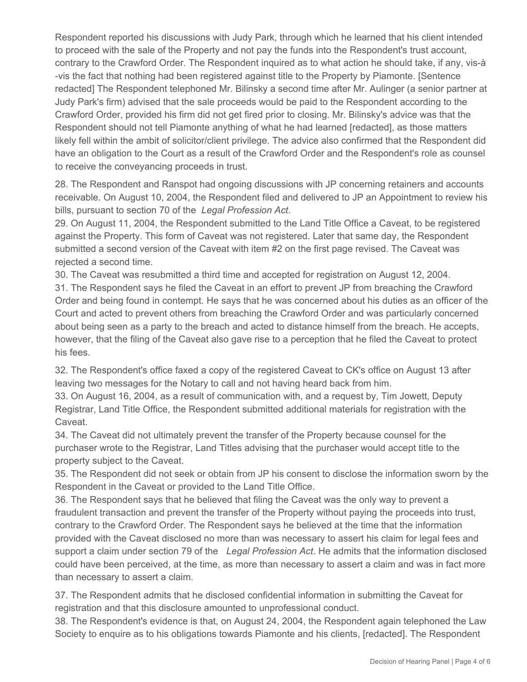Respondent reported his discussions with Judy Park, through which he learned that his client intended to proceed with the sale of the Property and not pay the funds into the Respondent's trust account, contrary to the Crawford Order. The Respondent inquired as to what action he should take, if any, vis-à -vis the fact that nothing had been registered against title to the Property by Piamonte. [Sentence redacted] The Respondent telephoned Mr. Bilinsky a second time after Mr. Aulinger (a senior partner at Judy Park's firm) advised that the sale proceeds would be paid to the Respondent according to the Crawford Order, provided his firm did not get fired prior to closing. Mr. Bilinsky's advice was that the Respondent should not tell Piamonte anything of what he had learned [redacted], as those matters likely fell within the ambit of solicitor/client privilege. The advice also confirmed that the Respondent did have an obligation to the Court as a result of the Crawford Order and the Respondent's role as counsel to receive the conveyancing proceeds in trust.

28. The Respondent and Ranspot had ongoing discussions with JP concerning retainers and accounts receivable. On August 10, 2004, the Respondent filed and delivered to JP an Appointment to review his bills, pursuant to section 70 of the *Legal Profession Act*.

29. On August 11, 2004, the Respondent submitted to the Land Title Office a Caveat, to be registered against the Property. This form of Caveat was not registered. Later that same day, the Respondent submitted a second version of the Caveat with item #2 on the first page revised. The Caveat was rejected a second time.

30. The Caveat was resubmitted a third time and accepted for registration on August 12, 2004.

31. The Respondent says he filed the Caveat in an effort to prevent JP from breaching the Crawford Order and being found in contempt. He says that he was concerned about his duties as an officer of the Court and acted to prevent others from breaching the Crawford Order and was particularly concerned about being seen as a party to the breach and acted to distance himself from the breach. He accepts, however, that the filing of the Caveat also gave rise to a perception that he filed the Caveat to protect his fees.

32. The Respondent's office faxed a copy of the registered Caveat to CK's office on August 13 after leaving two messages for the Notary to call and not having heard back from him.

33. On August 16, 2004, as a result of communication with, and a request by, Tim Jowett, Deputy Registrar, Land Title Office, the Respondent submitted additional materials for registration with the Caveat.

34. The Caveat did not ultimately prevent the transfer of the Property because counsel for the purchaser wrote to the Registrar, Land Titles advising that the purchaser would accept title to the property subject to the Caveat.

35. The Respondent did not seek or obtain from JP his consent to disclose the information sworn by the Respondent in the Caveat or provided to the Land Title Office.

36. The Respondent says that he believed that filing the Caveat was the only way to prevent a fraudulent transaction and prevent the transfer of the Property without paying the proceeds into trust, contrary to the Crawford Order. The Respondent says he believed at the time that the information provided with the Caveat disclosed no more than was necessary to assert his claim for legal fees and support a claim under section 79 of the *Legal Profession Act*. He admits that the information disclosed could have been perceived, at the time, as more than necessary to assert a claim and was in fact more than necessary to assert a claim.

37. The Respondent admits that he disclosed confidential information in submitting the Caveat for registration and that this disclosure amounted to unprofessional conduct.

38. The Respondent's evidence is that, on August 24, 2004, the Respondent again telephoned the Law Society to enquire as to his obligations towards Piamonte and his clients, [redacted]. The Respondent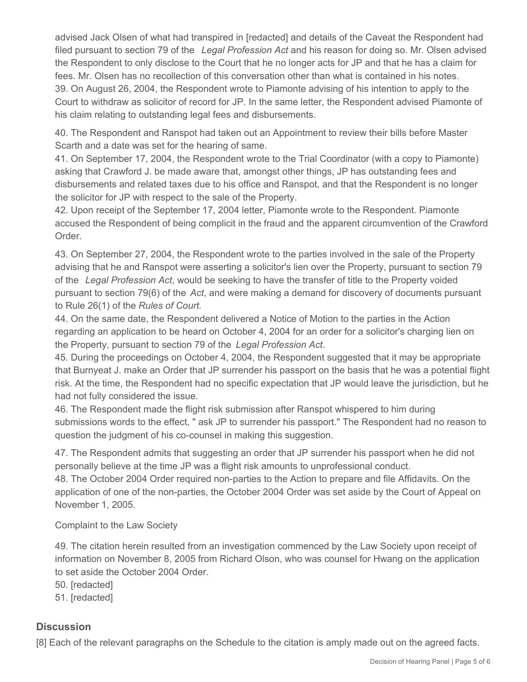advised Jack Olsen of what had transpired in [redacted] and details of the Caveat the Respondent had filed pursuant to section 79 of the *Legal Profession Act* and his reason for doing so. Mr. Olsen advised the Respondent to only disclose to the Court that he no longer acts for JP and that he has a claim for fees. Mr. Olsen has no recollection of this conversation other than what is contained in his notes. 39. On August 26, 2004, the Respondent wrote to Piamonte advising of his intention to apply to the Court to withdraw as solicitor of record for JP. In the same letter, the Respondent advised Piamonte of his claim relating to outstanding legal fees and disbursements.

40. The Respondent and Ranspot had taken out an Appointment to review their bills before Master Scarth and a date was set for the hearing of same.

41. On September 17, 2004, the Respondent wrote to the Trial Coordinator (with a copy to Piamonte) asking that Crawford J. be made aware that, amongst other things, JP has outstanding fees and disbursements and related taxes due to his office and Ranspot, and that the Respondent is no longer the solicitor for JP with respect to the sale of the Property.

42. Upon receipt of the September 17, 2004 letter, Piamonte wrote to the Respondent. Piamonte accused the Respondent of being complicit in the fraud and the apparent circumvention of the Crawford Order.

43. On September 27, 2004, the Respondent wrote to the parties involved in the sale of the Property advising that he and Ranspot were asserting a solicitor's lien over the Property, pursuant to section 79 of the *Legal Profession Act*, would be seeking to have the transfer of title to the Property voided pursuant to section 79(6) of the *Act*, and were making a demand for discovery of documents pursuant to Rule 26(1) of the *Rules of Court*.

44. On the same date, the Respondent delivered a Notice of Motion to the parties in the Action regarding an application to be heard on October 4, 2004 for an order for a solicitor's charging lien on the Property, pursuant to section 79 of the *Legal Profession Act*.

45. During the proceedings on October 4, 2004, the Respondent suggested that it may be appropriate that Burnyeat J. make an Order that JP surrender his passport on the basis that he was a potential flight risk. At the time, the Respondent had no specific expectation that JP would leave the jurisdiction, but he had not fully considered the issue.

46. The Respondent made the flight risk submission after Ranspot whispered to him during submissions words to the effect, " ask JP to surrender his passport." The Respondent had no reason to question the judgment of his co-counsel in making this suggestion.

47. The Respondent admits that suggesting an order that JP surrender his passport when he did not personally believe at the time JP was a flight risk amounts to unprofessional conduct.

48. The October 2004 Order required non-parties to the Action to prepare and file Affidavits. On the application of one of the non-parties, the October 2004 Order was set aside by the Court of Appeal on November 1, 2005.

Complaint to the Law Society

49. The citation herein resulted from an investigation commenced by the Law Society upon receipt of information on November 8, 2005 from Richard Olson, who was counsel for Hwang on the application to set aside the October 2004 Order.

50. [redacted]

51. [redacted]

## **Discussion**

[8] Each of the relevant paragraphs on the Schedule to the citation is amply made out on the agreed facts.